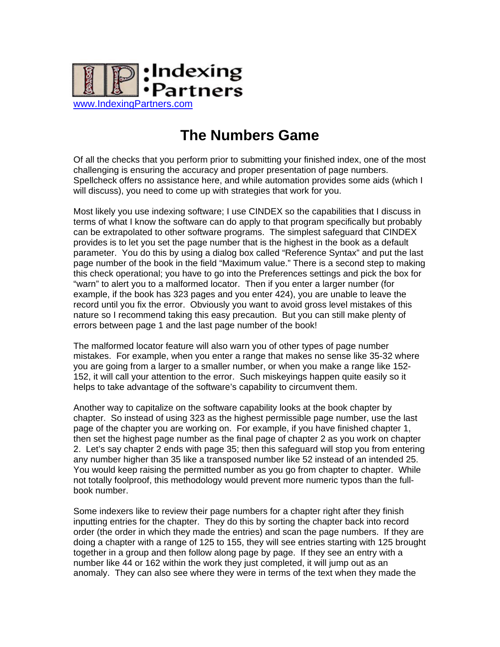

## **The Numbers Game**

Of all the checks that you perform prior to submitting your finished index, one of the most challenging is ensuring the accuracy and proper presentation of page numbers. Spellcheck offers no assistance here, and while automation provides some aids (which I will discuss), you need to come up with strategies that work for you.

Most likely you use indexing software; I use CINDEX so the capabilities that I discuss in terms of what I know the software can do apply to that program specifically but probably can be extrapolated to other software programs. The simplest safeguard that CINDEX provides is to let you set the page number that is the highest in the book as a default parameter. You do this by using a dialog box called "Reference Syntax" and put the last page number of the book in the field "Maximum value." There is a second step to making this check operational; you have to go into the Preferences settings and pick the box for "warn" to alert you to a malformed locator. Then if you enter a larger number (for example, if the book has 323 pages and you enter 424), you are unable to leave the record until you fix the error. Obviously you want to avoid gross level mistakes of this nature so I recommend taking this easy precaution. But you can still make plenty of errors between page 1 and the last page number of the book!

The malformed locator feature will also warn you of other types of page number mistakes. For example, when you enter a range that makes no sense like 35-32 where you are going from a larger to a smaller number, or when you make a range like 152- 152, it will call your attention to the error. Such miskeyings happen quite easily so it helps to take advantage of the software's capability to circumvent them.

Another way to capitalize on the software capability looks at the book chapter by chapter. So instead of using 323 as the highest permissible page number, use the last page of the chapter you are working on. For example, if you have finished chapter 1, then set the highest page number as the final page of chapter 2 as you work on chapter 2. Let's say chapter 2 ends with page 35; then this safeguard will stop you from entering any number higher than 35 like a transposed number like 52 instead of an intended 25. You would keep raising the permitted number as you go from chapter to chapter. While not totally foolproof, this methodology would prevent more numeric typos than the fullbook number.

Some indexers like to review their page numbers for a chapter right after they finish inputting entries for the chapter. They do this by sorting the chapter back into record order (the order in which they made the entries) and scan the page numbers. If they are doing a chapter with a range of 125 to 155, they will see entries starting with 125 brought together in a group and then follow along page by page. If they see an entry with a number like 44 or 162 within the work they just completed, it will jump out as an anomaly. They can also see where they were in terms of the text when they made the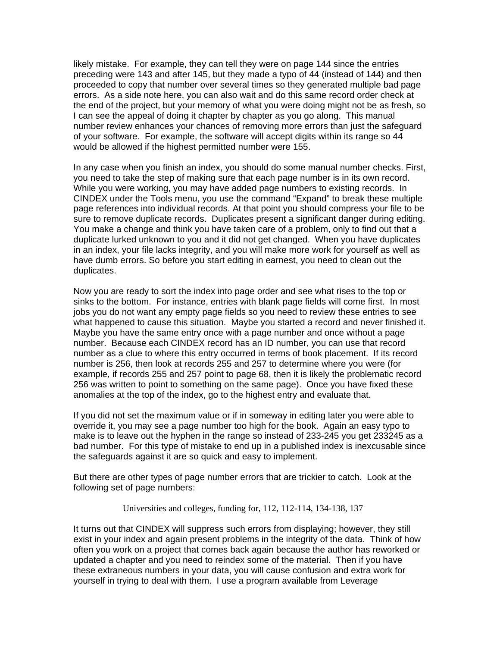likely mistake. For example, they can tell they were on page 144 since the entries preceding were 143 and after 145, but they made a typo of 44 (instead of 144) and then proceeded to copy that number over several times so they generated multiple bad page errors. As a side note here, you can also wait and do this same record order check at the end of the project, but your memory of what you were doing might not be as fresh, so I can see the appeal of doing it chapter by chapter as you go along. This manual number review enhances your chances of removing more errors than just the safeguard of your software. For example, the software will accept digits within its range so 44 would be allowed if the highest permitted number were 155.

In any case when you finish an index, you should do some manual number checks. First, you need to take the step of making sure that each page number is in its own record. While you were working, you may have added page numbers to existing records. In CINDEX under the Tools menu, you use the command "Expand" to break these multiple page references into individual records. At that point you should compress your file to be sure to remove duplicate records. Duplicates present a significant danger during editing. You make a change and think you have taken care of a problem, only to find out that a duplicate lurked unknown to you and it did not get changed. When you have duplicates in an index, your file lacks integrity, and you will make more work for yourself as well as have dumb errors. So before you start editing in earnest, you need to clean out the duplicates.

Now you are ready to sort the index into page order and see what rises to the top or sinks to the bottom. For instance, entries with blank page fields will come first. In most jobs you do not want any empty page fields so you need to review these entries to see what happened to cause this situation. Maybe you started a record and never finished it. Maybe you have the same entry once with a page number and once without a page number. Because each CINDEX record has an ID number, you can use that record number as a clue to where this entry occurred in terms of book placement. If its record number is 256, then look at records 255 and 257 to determine where you were (for example, if records 255 and 257 point to page 68, then it is likely the problematic record 256 was written to point to something on the same page). Once you have fixed these anomalies at the top of the index, go to the highest entry and evaluate that.

If you did not set the maximum value or if in someway in editing later you were able to override it, you may see a page number too high for the book. Again an easy typo to make is to leave out the hyphen in the range so instead of 233-245 you get 233245 as a bad number. For this type of mistake to end up in a published index is inexcusable since the safeguards against it are so quick and easy to implement.

But there are other types of page number errors that are trickier to catch. Look at the following set of page numbers:

Universities and colleges, funding for, 112, 112-114, 134-138, 137

It turns out that CINDEX will suppress such errors from displaying; however, they still exist in your index and again present problems in the integrity of the data. Think of how often you work on a project that comes back again because the author has reworked or updated a chapter and you need to reindex some of the material. Then if you have these extraneous numbers in your data, you will cause confusion and extra work for yourself in trying to deal with them. I use a program available from Leverage